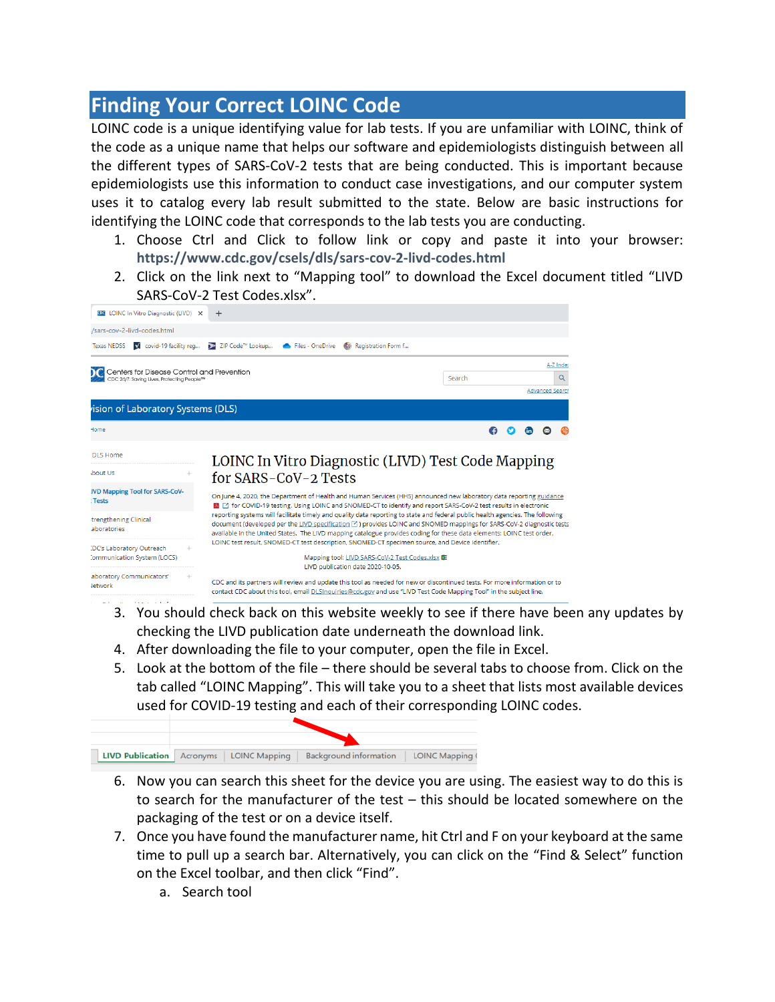## **Finding Your Correct LOINC Code**

LOINC code is a unique identifying value for lab tests. If you are unfamiliar with LOINC, think of the code as a unique name that helps our software and epidemiologists distinguish between all the different types of SARS-CoV-2 tests that are being conducted. This is important because epidemiologists use this information to conduct case investigations, and our computer system uses it to catalog every lab result submitted to the state. Below are basic instructions for identifying the LOINC code that corresponds to the lab tests you are conducting.

- 1. Choose Ctrl and Click to follow link or copy and paste it into your browser: **<https://www.cdc.gov/csels/dls/sars-cov-2-livd-codes.html>**
- 2. Click on the link next to "Mapping tool" to download the Excel document titled "LIVD SARS-CoV-2 Test Codes.xlsx".



- 3. You should check back on this website weekly to see if there have been any updates by checking the LIVD publication date underneath the download link.
- 4. After downloading the file to your computer, open the file in Excel.
- 5. Look at the bottom of the file there should be several tabs to choose from. Click on the tab called "LOINC Mapping". This will take you to a sheet that lists most available devices used for COVID-19 testing and each of their corresponding LOINC codes.



- 6. Now you can search this sheet for the device you are using. The easiest way to do this is to search for the manufacturer of the test – this should be located somewhere on the packaging of the test or on a device itself.
- 7. Once you have found the manufacturer name, hit Ctrl and F on your keyboard at the same time to pull up a search bar. Alternatively, you can click on the "Find & Select" function on the Excel toolbar, and then click "Find".
	- a. Search tool